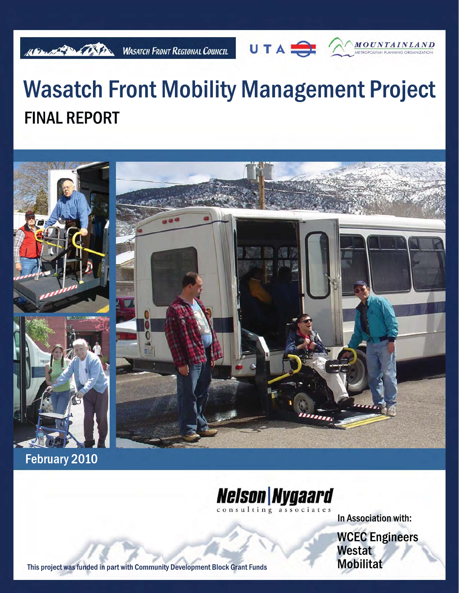# **Wasatch Front Mobility Management Project FINAL REPORT**

**WASATCH FRONT REGIONAL COUNCIL** 

HELLEN COST



## Nelson Nygaard

consulting associates

In Association with:

UTA MOUNTAINLAND

**WCEC Engineers** Westat **Mobilitat** 

This project was funded in part with Community Development Block Grant Funds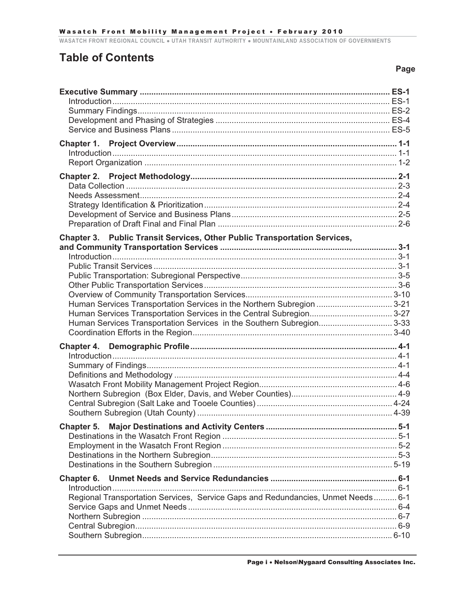#### **Table of Contents**

#### **Page**

| Chapter 3. Public Transit Services, Other Public Transportation Services,        |  |
|----------------------------------------------------------------------------------|--|
|                                                                                  |  |
|                                                                                  |  |
|                                                                                  |  |
|                                                                                  |  |
| Human Services Transportation Services in the Northern Subregion  3-21           |  |
|                                                                                  |  |
| Human Services Transportation Services in the Southern Subregion3-33             |  |
|                                                                                  |  |
|                                                                                  |  |
|                                                                                  |  |
|                                                                                  |  |
|                                                                                  |  |
|                                                                                  |  |
|                                                                                  |  |
|                                                                                  |  |
|                                                                                  |  |
| Chapter 5.                                                                       |  |
|                                                                                  |  |
|                                                                                  |  |
|                                                                                  |  |
|                                                                                  |  |
| Chapter 6.                                                                       |  |
| Introduction                                                                     |  |
| Regional Transportation Services, Service Gaps and Redundancies, Unmet Needs 6-1 |  |
|                                                                                  |  |
|                                                                                  |  |
|                                                                                  |  |
|                                                                                  |  |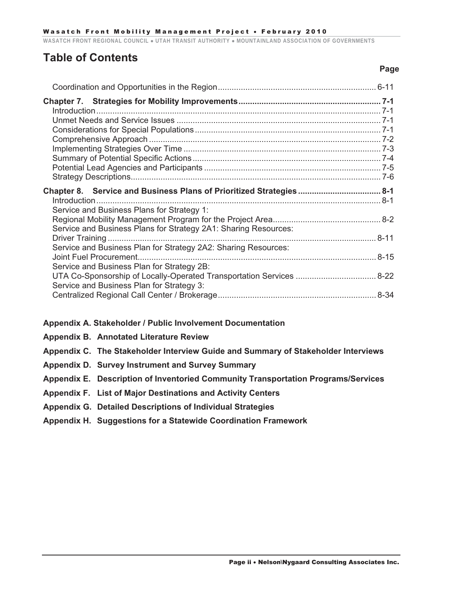Wasatch Front Mobility Management Project • February 2010

WASATCH FRONT REGIONAL COUNCIL  $\bullet$  UTAH TRANSIT AUTHORITY  $\bullet$  MOUNTAINLAND ASSOCIATION OF GOVERNMENTS

#### **Table of Contents**

| Chapter 8. Service and Business Plans of Prioritized Strategies 8-1 |  |
|---------------------------------------------------------------------|--|
|                                                                     |  |
| Service and Business Plans for Strategy 1:                          |  |
|                                                                     |  |
| Service and Business Plans for Strategy 2A1: Sharing Resources:     |  |
|                                                                     |  |
| Service and Business Plan for Strategy 2A2: Sharing Resources:      |  |
|                                                                     |  |
| Service and Business Plan for Strategy 2B:                          |  |
|                                                                     |  |
|                                                                     |  |
| Service and Business Plan for Strategy 3:                           |  |
|                                                                     |  |

#### **Appendix A. Stakeholder / Public Involvement Documentation**

- **Appendix B. Annotated Literature Review**
- **Appendix C. The Stakeholder Interview Guide and Summary of Stakeholder Interviews**
- **Appendix D. Survey Instrument and Survey Summary**
- **Appendix E. Description of Inventoried Community Transportation Programs/Services**
- **Appendix F. List of Major Destinations and Activity Centers**
- **Appendix G. Detailed Descriptions of Individual Strategies**
- **Appendix H. Suggestions for a Statewide Coordination Framework**

**Page**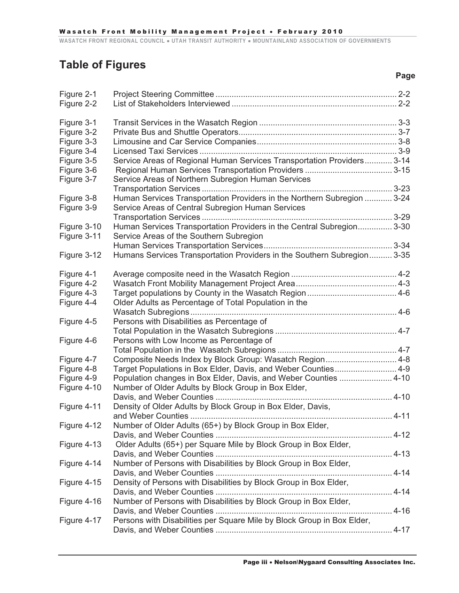#### **Table of Figures**

| Figure 2-1<br>Figure 2-2 |                                                                         |  |
|--------------------------|-------------------------------------------------------------------------|--|
| Figure 3-1               |                                                                         |  |
| Figure 3-2               |                                                                         |  |
| Figure 3-3               |                                                                         |  |
| Figure 3-4               |                                                                         |  |
| Figure 3-5               | Service Areas of Regional Human Services Transportation Providers 3-14  |  |
| Figure 3-6               |                                                                         |  |
| Figure 3-7               | Service Areas of Northern Subregion Human Services                      |  |
|                          |                                                                         |  |
| Figure 3-8               | Human Services Transportation Providers in the Northern Subregion  3-24 |  |
| Figure 3-9               | Service Areas of Central Subregion Human Services                       |  |
|                          |                                                                         |  |
| Figure 3-10              | Human Services Transportation Providers in the Central Subregion 3-30   |  |
| Figure 3-11              | Service Areas of the Southern Subregion                                 |  |
|                          |                                                                         |  |
| Figure 3-12              | Humans Services Transportation Providers in the Southern Subregion 3-35 |  |
|                          |                                                                         |  |
| Figure 4-1               |                                                                         |  |
| Figure 4-2               |                                                                         |  |
| Figure 4-3               |                                                                         |  |
| Figure 4-4               | Older Adults as Percentage of Total Population in the                   |  |
|                          |                                                                         |  |
| Figure 4-5               | Persons with Disabilities as Percentage of                              |  |
|                          |                                                                         |  |
| Figure 4-6               | Persons with Low Income as Percentage of                                |  |
|                          |                                                                         |  |
| Figure 4-7               | Composite Needs Index by Block Group: Wasatch Region 4-8                |  |
| Figure 4-8               | Target Populations in Box Elder, Davis, and Weber Counties 4-9          |  |
| Figure 4-9               | Population changes in Box Elder, Davis, and Weber Counties  4-10        |  |
| Figure 4-10              | Number of Older Adults by Block Group in Box Elder,                     |  |
|                          |                                                                         |  |
| Figure 4-11              | Density of Older Adults by Block Group in Box Elder, Davis,             |  |
|                          |                                                                         |  |
| Figure 4-12              | Number of Older Adults (65+) by Block Group in Box Elder,               |  |
|                          | Davis, and Weber Counties                                               |  |
| Figure 4-13              | Older Adults (65+) per Square Mile by Block Group in Box Elder,         |  |
|                          |                                                                         |  |
| Figure 4-14              | Number of Persons with Disabilities by Block Group in Box Elder,        |  |
|                          |                                                                         |  |
| Figure 4-15              | Density of Persons with Disabilities by Block Group in Box Elder,       |  |
|                          |                                                                         |  |
| Figure 4-16              | Number of Persons with Disabilities by Block Group in Box Elder,        |  |
|                          |                                                                         |  |
| Figure 4-17              | Persons with Disabilities per Square Mile by Block Group in Box Elder,  |  |
|                          |                                                                         |  |
|                          |                                                                         |  |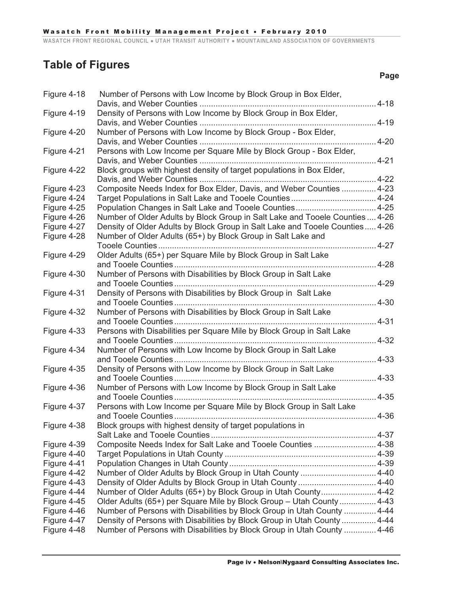#### **Table of Figures**

| Figure 4-18 | Number of Persons with Low Income by Block Group in Box Elder,               |          |
|-------------|------------------------------------------------------------------------------|----------|
| Figure 4-19 | Density of Persons with Low Income by Block Group in Box Elder,              |          |
| Figure 4-20 | Number of Persons with Low Income by Block Group - Box Elder,                |          |
|             |                                                                              | $4 - 20$ |
| Figure 4-21 | Persons with Low Income per Square Mile by Block Group - Box Elder,          |          |
| Figure 4-22 | Block groups with highest density of target populations in Box Elder,        |          |
| Figure 4-23 | Composite Needs Index for Box Elder, Davis, and Weber Counties  4-23         |          |
| Figure 4-24 |                                                                              |          |
| Figure 4-25 | Population Changes in Salt Lake and Tooele Counties4-25                      |          |
| Figure 4-26 | Number of Older Adults by Block Group in Salt Lake and Tooele Counties 4-26  |          |
| Figure 4-27 | Density of Older Adults by Block Group in Salt Lake and Tooele Counties 4-26 |          |
| Figure 4-28 | Number of Older Adults (65+) by Block Group in Salt Lake and                 |          |
|             |                                                                              | $4 - 27$ |
| Figure 4-29 | Older Adults (65+) per Square Mile by Block Group in Salt Lake               | $4 - 28$ |
| Figure 4-30 | Number of Persons with Disabilities by Block Group in Salt Lake              |          |
|             |                                                                              | $4 - 29$ |
| Figure 4-31 | Density of Persons with Disabilities by Block Group in Salt Lake             |          |
|             |                                                                              | $4 - 30$ |
| Figure 4-32 | Number of Persons with Disabilities by Block Group in Salt Lake              |          |
|             |                                                                              | $4 - 31$ |
| Figure 4-33 | Persons with Disabilities per Square Mile by Block Group in Salt Lake        | $.4-32$  |
| Figure 4-34 | Number of Persons with Low Income by Block Group in Salt Lake                |          |
|             |                                                                              | $4 - 33$ |
| Figure 4-35 | Density of Persons with Low Income by Block Group in Salt Lake               |          |
|             |                                                                              | $4 - 33$ |
| Figure 4-36 | Number of Persons with Low Income by Block Group in Salt Lake                |          |
|             |                                                                              | $4 - 35$ |
| Figure 4-37 | Persons with Low Income per Square Mile by Block Group in Salt Lake          |          |
|             |                                                                              |          |
| Figure 4-38 | Block groups with highest density of target populations in                   |          |
|             |                                                                              |          |
| Figure 4-39 | Composite Needs Index for Salt Lake and Tooele Counties  4-38                |          |
| Figure 4-40 |                                                                              |          |
| Figure 4-41 |                                                                              |          |
| Figure 4-42 |                                                                              |          |
| Figure 4-43 |                                                                              |          |
| Figure 4-44 | Number of Older Adults (65+) by Block Group in Utah County 4-42              |          |
| Figure 4-45 | Older Adults (65+) per Square Mile by Block Group - Utah County  4-43        |          |
| Figure 4-46 | Number of Persons with Disabilities by Block Group in Utah County  4-44      |          |
| Figure 4-47 | Density of Persons with Disabilities by Block Group in Utah County  4-44     |          |
| Figure 4-48 | Number of Persons with Disabilities by Block Group in Utah County  4-46      |          |

**Page**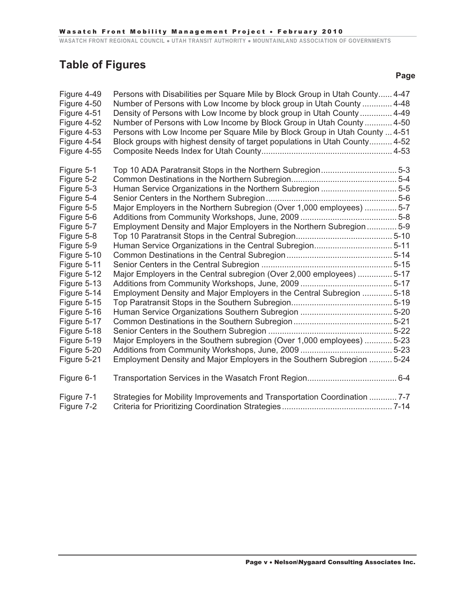#### **Table of Figures**

| Figure 4-49 | Persons with Disabilities per Square Mile by Block Group in Utah County 4-47 |
|-------------|------------------------------------------------------------------------------|
| Figure 4-50 | Number of Persons with Low Income by block group in Utah County  4-48        |
| Figure 4-51 | Density of Persons with Low Income by block group in Utah County  4-49       |
| Figure 4-52 | Number of Persons with Low Income by Block Group in Utah County 4-50         |
| Figure 4-53 | Persons with Low Income per Square Mile by Block Group in Utah County  4-51  |
| Figure 4-54 | Block groups with highest density of target populations in Utah County 4-52  |
| Figure 4-55 |                                                                              |
| Figure 5-1  | Top 10 ADA Paratransit Stops in the Northern Subregion5-3                    |
| Figure 5-2  |                                                                              |
| Figure 5-3  | Human Service Organizations in the Northern Subregion 5-5                    |
| Figure 5-4  |                                                                              |
| Figure 5-5  | Major Employers in the Northern Subregion (Over 1,000 employees)  5-7        |
| Figure 5-6  |                                                                              |
| Figure 5-7  | Employment Density and Major Employers in the Northern Subregion  5-9        |
| Figure 5-8  |                                                                              |
| Figure 5-9  | Human Service Organizations in the Central Subregion5-11                     |
| Figure 5-10 |                                                                              |
| Figure 5-11 |                                                                              |
| Figure 5-12 | Major Employers in the Central subregion (Over 2,000 employees)  5-17        |
| Figure 5-13 |                                                                              |
| Figure 5-14 | Employment Density and Major Employers in the Central Subregion  5-18        |
| Figure 5-15 |                                                                              |
| Figure 5-16 |                                                                              |
| Figure 5-17 |                                                                              |
| Figure 5-18 |                                                                              |
| Figure 5-19 | Major Employers in the Southern subregion (Over 1,000 employees)  5-23       |
| Figure 5-20 |                                                                              |
| Figure 5-21 | Employment Density and Major Employers in the Southern Subregion  5-24       |
| Figure 6-1  |                                                                              |
| Figure 7-1  | Strategies for Mobility Improvements and Transportation Coordination  7-7    |
| Figure 7-2  |                                                                              |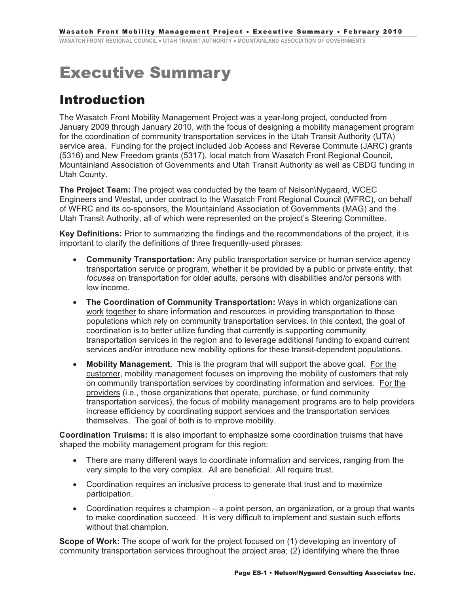## Executive Summary

#### Introduction

The Wasatch Front Mobility Management Project was a year-long project, conducted from January 2009 through January 2010, with the focus of designing a mobility management program for the coordination of community transportation services in the Utah Transit Authority (UTA) service area. Funding for the project included Job Access and Reverse Commute (JARC) grants (5316) and New Freedom grants (5317), local match from Wasatch Front Regional Council, Mountainland Association of Governments and Utah Transit Authority as well as CBDG funding in Utah County.

**The Project Team:** The project was conducted by the team of Nelson\Nygaard, WCEC Engineers and Westat, under contract to the Wasatch Front Regional Council (WFRC), on behalf of WFRC and its co-sponsors, the Mountainland Association of Governments (MAG) and the Utah Transit Authority, all of which were represented on the project's Steering Committee.

**Key Definitions:** Prior to summarizing the findings and the recommendations of the project, it is important to clarify the definitions of three frequently-used phrases:

- - **Community Transportation:** Any public transportation service or human service agency transportation service or program, whether it be provided by a public or private entity, that *focuses* on transportation for older adults, persons with disabilities and/or persons with low income.
- - **The Coordination of Community Transportation:** Ways in which organizations can work together to share information and resources in providing transportation to those populations which rely on community transportation services. In this context, the goal of coordination is to better utilize funding that currently is supporting community transportation services in the region and to leverage additional funding to expand current services and/or introduce new mobility options for these transit-dependent populations.
- - **Mobility Management.** This is the program that will support the above goal. For the customer, mobility management focuses on improving the mobility of customers that rely on community transportation services by coordinating information and services. For the providers (i.e., those organizations that operate, purchase, or fund community transportation services), the focus of mobility management programs are to help providers increase efficiency by coordinating support services and the transportation services themselves. The goal of both is to improve mobility.

**Coordination Truisms:** It is also important to emphasize some coordination truisms that have shaped the mobility management program for this region:

- - There are many different ways to coordinate information and services, ranging from the very simple to the very complex. All are beneficial. All require trust.
- Coordination requires an inclusive process to generate that trust and to maximize participation.
- Coordination requires a champion a point person, an organization, or a group that wants to make coordination succeed. It is very difficult to implement and sustain such efforts without that champion.

**Scope of Work:** The scope of work for the project focused on (1) developing an inventory of community transportation services throughout the project area; (2) identifying where the three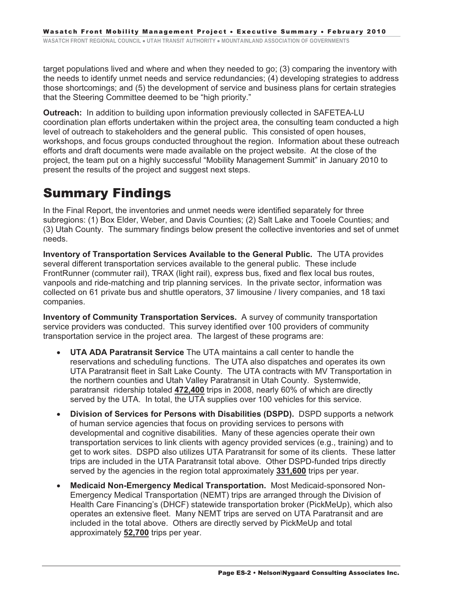target populations lived and where and when they needed to go; (3) comparing the inventory with the needs to identify unmet needs and service redundancies; (4) developing strategies to address those shortcomings; and (5) the development of service and business plans for certain strategies that the Steering Committee deemed to be "high priority."

**Outreach:** In addition to building upon information previously collected in SAFETEA-LU coordination plan efforts undertaken within the project area, the consulting team conducted a high level of outreach to stakeholders and the general public. This consisted of open houses, workshops, and focus groups conducted throughout the region. Information about these outreach efforts and draft documents were made available on the project website. At the close of the project, the team put on a highly successful "Mobility Management Summit" in January 2010 to present the results of the project and suggest next steps.

### Summary Findings

In the Final Report, the inventories and unmet needs were identified separately for three subregions: (1) Box Elder, Weber, and Davis Counties; (2) Salt Lake and Tooele Counties; and (3) Utah County. The summary findings below present the collective inventories and set of unmet needs.

**Inventory of Transportation Services Available to the General Public.** The UTA provides several different transportation services available to the general public. These include FrontRunner (commuter rail), TRAX (light rail), express bus, fixed and flex local bus routes, vanpools and ride-matching and trip planning services. In the private sector, information was collected on 61 private bus and shuttle operators, 37 limousine / livery companies, and 18 taxi companies.

**Inventory of Community Transportation Services.** A survey of community transportation service providers was conducted. This survey identified over 100 providers of community transportation service in the project area. The largest of these programs are:

- **UTA ADA Paratransit Service** The UTA maintains a call center to handle the reservations and scheduling functions. The UTA also dispatches and operates its own UTA Paratransit fleet in Salt Lake County. The UTA contracts with MV Transportation in the northern counties and Utah Valley Paratransit in Utah County. Systemwide, paratransit ridership totaled **472,400** trips in 2008, nearly 60% of which are directly served by the UTA. In total, the UTA supplies over 100 vehicles for this service.
- **Division of Services for Persons with Disabilities (DSPD).** DSPD supports a network of human service agencies that focus on providing services to persons with developmental and cognitive disabilities. Many of these agencies operate their own transportation services to link clients with agency provided services (e.g., training) and to get to work sites. DSPD also utilizes UTA Paratransit for some of its clients. These latter trips are included in the UTA Paratransit total above. Other DSPD-funded trips directly served by the agencies in the region total approximately **331,600** trips per year.
- $\bullet$  **Medicaid Non-Emergency Medical Transportation.** Most Medicaid-sponsored Non-Emergency Medical Transportation (NEMT) trips are arranged through the Division of Health Care Financing's (DHCF) statewide transportation broker (PickMeUp), which also operates an extensive fleet. Many NEMT trips are served on UTA Paratransit and are included in the total above. Others are directly served by PickMeUp and total approximately **52,700** trips per year.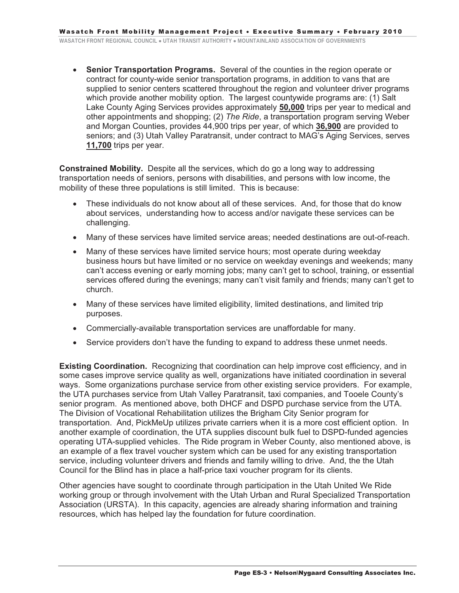$\bullet$  **Senior Transportation Programs.** Several of the counties in the region operate or contract for county-wide senior transportation programs, in addition to vans that are supplied to senior centers scattered throughout the region and volunteer driver programs which provide another mobility option. The largest countywide programs are: (1) Salt Lake County Aging Services provides approximately **50,000** trips per year to medical and other appointments and shopping; (2) *The Ride*, a transportation program serving Weber and Morgan Counties, provides 44,900 trips per year, of which **36,900** are provided to seniors; and (3) Utah Valley Paratransit, under contract to MAG's Aging Services, serves **11,700** trips per year.

**Constrained Mobility.** Despite all the services, which do go a long way to addressing transportation needs of seniors, persons with disabilities, and persons with low income, the mobility of these three populations is still limited. This is because:

- - These individuals do not know about all of these services. And, for those that do know about services, understanding how to access and/or navigate these services can be challenging.
- -Many of these services have limited service areas; needed destinations are out-of-reach.
- - Many of these services have limited service hours; most operate during weekday business hours but have limited or no service on weekday evenings and weekends; many can't access evening or early morning jobs; many can't get to school, training, or essential services offered during the evenings; many can't visit family and friends; many can't get to church.
- $\bullet$  Many of these services have limited eligibility, limited destinations, and limited trip purposes.
- Commercially-available transportation services are unaffordable for many.
- -Service providers don't have the funding to expand to address these unmet needs.

**Existing Coordination.** Recognizing that coordination can help improve cost efficiency, and in some cases improve service quality as well, organizations have initiated coordination in several ways. Some organizations purchase service from other existing service providers. For example, the UTA purchases service from Utah Valley Paratransit, taxi companies, and Tooele County's senior program. As mentioned above, both DHCF and DSPD purchase service from the UTA. The Division of Vocational Rehabilitation utilizes the Brigham City Senior program for transportation. And, PickMeUp utilizes private carriers when it is a more cost efficient option. In another example of coordination, the UTA supplies discount bulk fuel to DSPD-funded agencies operating UTA-supplied vehicles. The Ride program in Weber County, also mentioned above, is an example of a flex travel voucher system which can be used for any existing transportation service, including volunteer drivers and friends and family willing to drive. And, the the Utah Council for the Blind has in place a half-price taxi voucher program for its clients.

Other agencies have sought to coordinate through participation in the Utah United We Ride working group or through involvement with the Utah Urban and Rural Specialized Transportation Association (URSTA). In this capacity, agencies are already sharing information and training resources, which has helped lay the foundation for future coordination.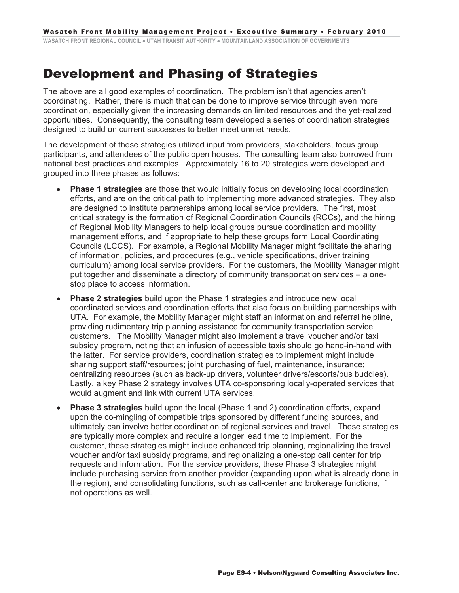#### Development and Phasing of Strategies

The above are all good examples of coordination. The problem isn't that agencies aren't coordinating. Rather, there is much that can be done to improve service through even more coordination, especially given the increasing demands on limited resources and the yet-realized opportunities. Consequently, the consulting team developed a series of coordination strategies designed to build on current successes to better meet unmet needs.

The development of these strategies utilized input from providers, stakeholders, focus group participants, and attendees of the public open houses. The consulting team also borrowed from national best practices and examples. Approximately 16 to 20 strategies were developed and grouped into three phases as follows:

- $\bullet$  **Phase 1 strategies** are those that would initially focus on developing local coordination efforts, and are on the critical path to implementing more advanced strategies. They also are designed to institute partnerships among local service providers. The first, most critical strategy is the formation of Regional Coordination Councils (RCCs), and the hiring of Regional Mobility Managers to help local groups pursue coordination and mobility management efforts, and if appropriate to help these groups form Local Coordinating Councils (LCCS). For example, a Regional Mobility Manager might facilitate the sharing of information, policies, and procedures (e.g., vehicle specifications, driver training curriculum) among local service providers. For the customers, the Mobility Manager might put together and disseminate a directory of community transportation services – a onestop place to access information.
- $\bullet$  **Phase 2 strategies** build upon the Phase 1 strategies and introduce new local coordinated services and coordination efforts that also focus on building partnerships with UTA. For example, the Mobility Manager might staff an information and referral helpline, providing rudimentary trip planning assistance for community transportation service customers. The Mobility Manager might also implement a travel voucher and/or taxi subsidy program, noting that an infusion of accessible taxis should go hand-in-hand with the latter. For service providers, coordination strategies to implement might include sharing support staff/resources; joint purchasing of fuel, maintenance, insurance; centralizing resources (such as back-up drivers, volunteer drivers/escorts/bus buddies). Lastly, a key Phase 2 strategy involves UTA co-sponsoring locally-operated services that would augment and link with current UTA services.
- $\bullet$  **Phase 3 strategies** build upon the local (Phase 1 and 2) coordination efforts, expand upon the co-mingling of compatible trips sponsored by different funding sources, and ultimately can involve better coordination of regional services and travel. These strategies are typically more complex and require a longer lead time to implement. For the customer, these strategies might include enhanced trip planning, regionalizing the travel voucher and/or taxi subsidy programs, and regionalizing a one-stop call center for trip requests and information. For the service providers, these Phase 3 strategies might include purchasing service from another provider (expanding upon what is already done in the region), and consolidating functions, such as call-center and brokerage functions, if not operations as well.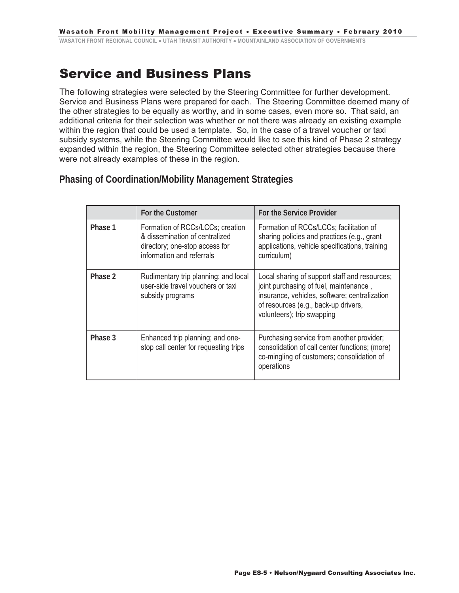### Service and Business Plans

The following strategies were selected by the Steering Committee for further development. Service and Business Plans were prepared for each. The Steering Committee deemed many of the other strategies to be equally as worthy, and in some cases, even more so. That said, an additional criteria for their selection was whether or not there was already an existing example within the region that could be used a template. So, in the case of a travel voucher or taxi subsidy systems, while the Steering Committee would like to see this kind of Phase 2 strategy expanded within the region, the Steering Committee selected other strategies because there were not already examples of these in the region.

**Phasing of Coordination/Mobility Management Strategies** 

|         | For the Customer                                                                                                                  | For the Service Provider                                                                                                                                                                                       |
|---------|-----------------------------------------------------------------------------------------------------------------------------------|----------------------------------------------------------------------------------------------------------------------------------------------------------------------------------------------------------------|
| Phase 1 | Formation of RCCs/LCCs; creation<br>& dissemination of centralized<br>directory; one-stop access for<br>information and referrals | Formation of RCCs/LCCs; facilitation of<br>sharing policies and practices (e.g., grant<br>applications, vehicle specifications, training<br>curriculum)                                                        |
| Phase 2 | Rudimentary trip planning; and local<br>user-side travel vouchers or taxi<br>subsidy programs                                     | Local sharing of support staff and resources;<br>joint purchasing of fuel, maintenance,<br>insurance, vehicles, software; centralization<br>of resources (e.g., back-up drivers,<br>volunteers); trip swapping |
| Phase 3 | Enhanced trip planning; and one-<br>stop call center for requesting trips                                                         | Purchasing service from another provider;<br>consolidation of call center functions; (more)<br>co-mingling of customers; consolidation of<br>operations                                                        |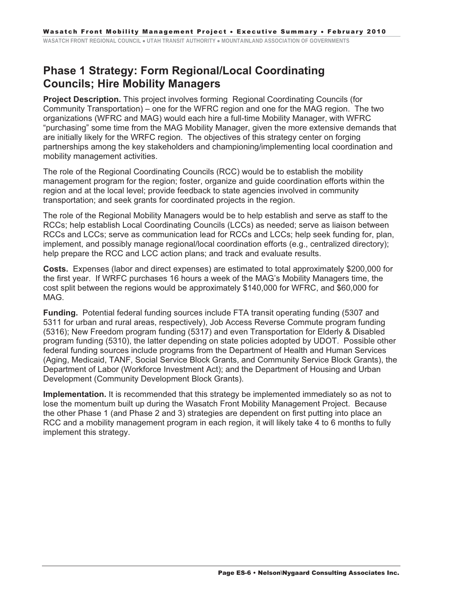#### **Phase 1 Strategy: Form Regional/Local Coordinating Councils; Hire Mobility Managers**

**Project Description.** This project involves forming Regional Coordinating Councils (for Community Transportation) – one for the WFRC region and one for the MAG region. The two organizations (WFRC and MAG) would each hire a full-time Mobility Manager, with WFRC "purchasing" some time from the MAG Mobility Manager, given the more extensive demands that are initially likely for the WRFC region. The objectives of this strategy center on forging partnerships among the key stakeholders and championing/implementing local coordination and mobility management activities.

The role of the Regional Coordinating Councils (RCC) would be to establish the mobility management program for the region; foster, organize and guide coordination efforts within the region and at the local level; provide feedback to state agencies involved in community transportation; and seek grants for coordinated projects in the region.

The role of the Regional Mobility Managers would be to help establish and serve as staff to the RCCs; help establish Local Coordinating Councils (LCCs) as needed; serve as liaison between RCCs and LCCs; serve as communication lead for RCCs and LCCs; help seek funding for, plan, implement, and possibly manage regional/local coordination efforts (e.g., centralized directory); help prepare the RCC and LCC action plans; and track and evaluate results.

**Costs.** Expenses (labor and direct expenses) are estimated to total approximately \$200,000 for the first year. If WRFC purchases 16 hours a week of the MAG's Mobility Managers time, the cost split between the regions would be approximately \$140,000 for WFRC, and \$60,000 for MAG.

**Funding.** Potential federal funding sources include FTA transit operating funding (5307 and 5311 for urban and rural areas, respectively), Job Access Reverse Commute program funding (5316); New Freedom program funding (5317) and even Transportation for Elderly & Disabled program funding (5310), the latter depending on state policies adopted by UDOT. Possible other federal funding sources include programs from the Department of Health and Human Services (Aging, Medicaid, TANF, Social Service Block Grants, and Community Service Block Grants), the Department of Labor (Workforce Investment Act); and the Department of Housing and Urban Development (Community Development Block Grants).

**Implementation.** It is recommended that this strategy be implemented immediately so as not to lose the momentum built up during the Wasatch Front Mobility Management Project. Because the other Phase 1 (and Phase 2 and 3) strategies are dependent on first putting into place an RCC and a mobility management program in each region, it will likely take 4 to 6 months to fully implement this strategy.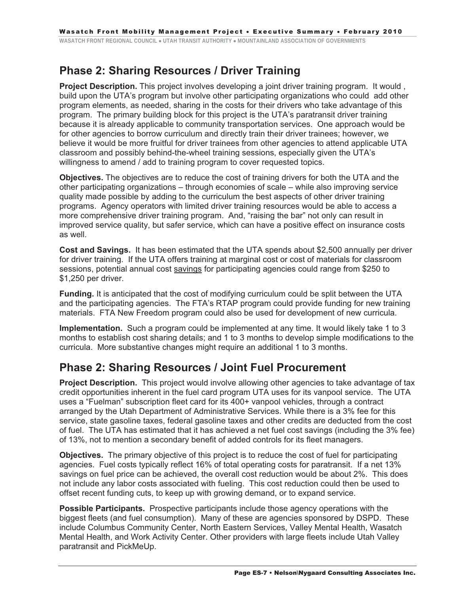#### **Phase 2: Sharing Resources / Driver Training**

**Project Description.** This project involves developing a joint driver training program. It would , build upon the UTA's program but involve other participating organizations who could add other program elements, as needed, sharing in the costs for their drivers who take advantage of this program. The primary building block for this project is the UTA's paratransit driver training because it is already applicable to community transportation services. One approach would be for other agencies to borrow curriculum and directly train their driver trainees; however, we believe it would be more fruitful for driver trainees from other agencies to attend applicable UTA classroom and possibly behind-the-wheel training sessions, especially given the UTA's willingness to amend / add to training program to cover requested topics.

**Objectives.** The objectives are to reduce the cost of training drivers for both the UTA and the other participating organizations – through economies of scale – while also improving service quality made possible by adding to the curriculum the best aspects of other driver training programs. Agency operators with limited driver training resources would be able to access a more comprehensive driver training program. And, "raising the bar" not only can result in improved service quality, but safer service, which can have a positive effect on insurance costs as well.

**Cost and Savings.** It has been estimated that the UTA spends about \$2,500 annually per driver for driver training. If the UTA offers training at marginal cost or cost of materials for classroom sessions, potential annual cost savings for participating agencies could range from \$250 to \$1,250 per driver.

**Funding.** It is anticipated that the cost of modifying curriculum could be split between the UTA and the participating agencies. The FTA's RTAP program could provide funding for new training materials. FTA New Freedom program could also be used for development of new curricula.

**Implementation.** Such a program could be implemented at any time. It would likely take 1 to 3 months to establish cost sharing details; and 1 to 3 months to develop simple modifications to the curricula. More substantive changes might require an additional 1 to 3 months.

#### **Phase 2: Sharing Resources / Joint Fuel Procurement**

**Project Description.** This project would involve allowing other agencies to take advantage of tax credit opportunities inherent in the fuel card program UTA uses for its vanpool service. The UTA uses a "Fuelman" subscription fleet card for its 400+ vanpool vehicles, through a contract arranged by the Utah Department of Administrative Services. While there is a 3% fee for this service, state gasoline taxes, federal gasoline taxes and other credits are deducted from the cost of fuel. The UTA has estimated that it has achieved a net fuel cost savings (including the 3% fee) of 13%, not to mention a secondary benefit of added controls for its fleet managers.

**Objectives.** The primary objective of this project is to reduce the cost of fuel for participating agencies. Fuel costs typically reflect 16% of total operating costs for paratransit. If a net 13% savings on fuel price can be achieved, the overall cost reduction would be about 2%. This does not include any labor costs associated with fueling. This cost reduction could then be used to offset recent funding cuts, to keep up with growing demand, or to expand service.

**Possible Participants.** Prospective participants include those agency operations with the biggest fleets (and fuel consumption). Many of these are agencies sponsored by DSPD. These include Columbus Community Center, North Eastern Services, Valley Mental Health, Wasatch Mental Health, and Work Activity Center. Other providers with large fleets include Utah Valley paratransit and PickMeUp.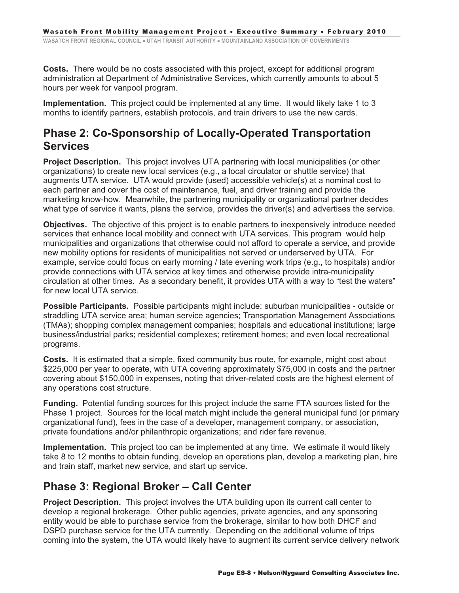**Costs.** There would be no costs associated with this project, except for additional program administration at Department of Administrative Services, which currently amounts to about 5 hours per week for vanpool program.

**Implementation.** This project could be implemented at any time. It would likely take 1 to 3 months to identify partners, establish protocols, and train drivers to use the new cards.

#### **Phase 2: Co-Sponsorship of Locally-Operated Transportation Services**

**Project Description.** This project involves UTA partnering with local municipalities (or other organizations) to create new local services (e.g., a local circulator or shuttle service) that augments UTA service. UTA would provide (used) accessible vehicle(s) at a nominal cost to each partner and cover the cost of maintenance, fuel, and driver training and provide the marketing know-how. Meanwhile, the partnering municipality or organizational partner decides what type of service it wants, plans the service, provides the driver(s) and advertises the service.

**Objectives.** The objective of this project is to enable partners to inexpensively introduce needed services that enhance local mobility and connect with UTA services. This program would help municipalities and organizations that otherwise could not afford to operate a service, and provide new mobility options for residents of municipalities not served or underserved by UTA. For example, service could focus on early morning / late evening work trips (e.g., to hospitals) and/or provide connections with UTA service at key times and otherwise provide intra-municipality circulation at other times. As a secondary benefit, it provides UTA with a way to "test the waters" for new local UTA service.

**Possible Participants.** Possible participants might include: suburban municipalities - outside or straddling UTA service area; human service agencies; Transportation Management Associations (TMAs); shopping complex management companies; hospitals and educational institutions; large business/industrial parks; residential complexes; retirement homes; and even local recreational programs.

**Costs.** It is estimated that a simple, fixed community bus route, for example, might cost about \$225,000 per year to operate, with UTA covering approximately \$75,000 in costs and the partner covering about \$150,000 in expenses, noting that driver-related costs are the highest element of any operations cost structure.

**Funding.** Potential funding sources for this project include the same FTA sources listed for the Phase 1 project. Sources for the local match might include the general municipal fund (or primary organizational fund), fees in the case of a developer, management company, or association, private foundations and/or philanthropic organizations; and rider fare revenue.

**Implementation.** This project too can be implemented at any time. We estimate it would likely take 8 to 12 months to obtain funding, develop an operations plan, develop a marketing plan, hire and train staff, market new service, and start up service.

#### **Phase 3: Regional Broker – Call Center**

**Project Description.** This project involves the UTA building upon its current call center to develop a regional brokerage. Other public agencies, private agencies, and any sponsoring entity would be able to purchase service from the brokerage, similar to how both DHCF and DSPD purchase service for the UTA currently. Depending on the additional volume of trips coming into the system, the UTA would likely have to augment its current service delivery network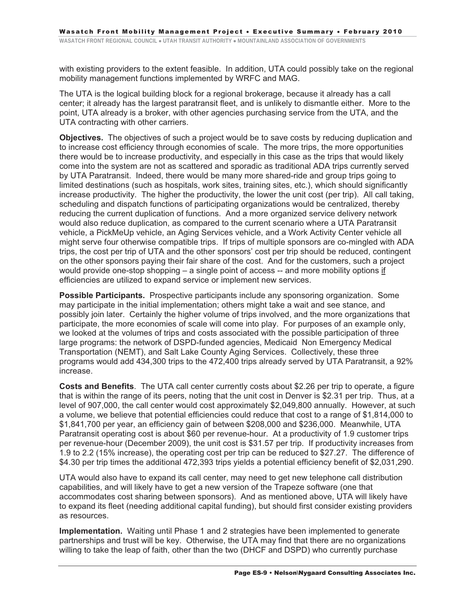with existing providers to the extent feasible. In addition, UTA could possibly take on the regional mobility management functions implemented by WRFC and MAG.

The UTA is the logical building block for a regional brokerage, because it already has a call center; it already has the largest paratransit fleet, and is unlikely to dismantle either. More to the point, UTA already is a broker, with other agencies purchasing service from the UTA, and the UTA contracting with other carriers.

**Objectives.** The objectives of such a project would be to save costs by reducing duplication and to increase cost efficiency through economies of scale. The more trips, the more opportunities there would be to increase productivity, and especially in this case as the trips that would likely come into the system are not as scattered and sporadic as traditional ADA trips currently served by UTA Paratransit. Indeed, there would be many more shared-ride and group trips going to limited destinations (such as hospitals, work sites, training sites, etc.), which should significantly increase productivity. The higher the productivity, the lower the unit cost (per trip). All call taking, scheduling and dispatch functions of participating organizations would be centralized, thereby reducing the current duplication of functions. And a more organized service delivery network would also reduce duplication, as compared to the current scenario where a UTA Paratransit vehicle, a PickMeUp vehicle, an Aging Services vehicle, and a Work Activity Center vehicle all might serve four otherwise compatible trips. If trips of multiple sponsors are co-mingled with ADA trips, the cost per trip of UTA and the other sponsors' cost per trip should be reduced, contingent on the other sponsors paying their fair share of the cost. And for the customers, such a project would provide one-stop shopping – a single point of access -- and more mobility options if efficiencies are utilized to expand service or implement new services.

**Possible Participants.** Prospective participants include any sponsoring organization. Some may participate in the initial implementation; others might take a wait and see stance, and possibly join later. Certainly the higher volume of trips involved, and the more organizations that participate, the more economies of scale will come into play. For purposes of an example only, we looked at the volumes of trips and costs associated with the possible participation of three large programs: the network of DSPD-funded agencies, Medicaid Non Emergency Medical Transportation (NEMT), and Salt Lake County Aging Services. Collectively, these three programs would add 434,300 trips to the 472,400 trips already served by UTA Paratransit, a 92% increase.

**Costs and Benefits**. The UTA call center currently costs about \$2.26 per trip to operate, a figure that is within the range of its peers, noting that the unit cost in Denver is \$2.31 per trip. Thus, at a level of 907,000, the call center would cost approximately \$2,049,800 annually. However, at such a volume, we believe that potential efficiencies could reduce that cost to a range of \$1,814,000 to \$1,841,700 per year, an efficiency gain of between \$208,000 and \$236,000. Meanwhile, UTA Paratransit operating cost is about \$60 per revenue-hour. At a productivity of 1.9 customer trips per revenue-hour (December 2009), the unit cost is \$31.57 per trip. If productivity increases from 1.9 to 2.2 (15% increase), the operating cost per trip can be reduced to \$27.27. The difference of \$4.30 per trip times the additional 472,393 trips yields a potential efficiency benefit of \$2,031,290.

UTA would also have to expand its call center, may need to get new telephone call distribution capabilities, and will likely have to get a new version of the Trapeze software (one that accommodates cost sharing between sponsors). And as mentioned above, UTA will likely have to expand its fleet (needing additional capital funding), but should first consider existing providers as resources.

**Implementation.** Waiting until Phase 1 and 2 strategies have been implemented to generate partnerships and trust will be key. Otherwise, the UTA may find that there are no organizations willing to take the leap of faith, other than the two (DHCF and DSPD) who currently purchase